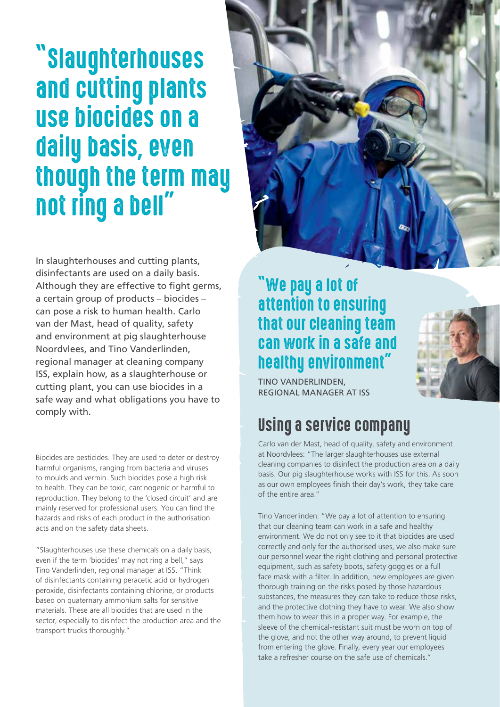# "Slaughterhouses and cutting plants use biocides on a daily basis, even though the term may not ring a bell"

In slaughterhouses and cutting plants, disinfectants are used on a daily basis. Although they are effective to fight germs, a certain group of products – biocides – can pose a risk to human health. Carlo van der Mast, head of quality, safety and environment at pig slaughterhouse Noordvlees, and Tino Vanderlinden, regional manager at cleaning company ISS, explain how, as a slaughterhouse or cutting plant, you can use biocides in a safe way and what obligations you have to comply with.

Biocides are pesticides. They are used to deter or destroy harmful organisms, ranging from bacteria and viruses to moulds and vermin. Such biocides pose a high risk to health. They can be toxic, carcinogenic or harmful to reproduction. They belong to the 'closed circuit' and are mainly reserved for professional users. You can find the hazards and risks of each product in the authorisation acts and on the safety data sheets.

"Slaughterhouses use these chemicals on a daily basis, even if the term 'biocides' may not ring a bell," says Tino Vanderlinden, regional manager at ISS. "Think of disinfectants containing peracetic acid or hydrogen peroxide, disinfectants containing chlorine, or products based on quaternary ammonium salts for sensitive materials. These are all biocides that are used in the sector, especially to disinfect the production area and the transport trucks thoroughly."



#### "We pay a lot of attention to ensuring that our cleaning team can work in a safe and healthy environment"



### Using a service company

Carlo van der Mast, head of quality, safety and environment at Noordvlees: "The larger slaughterhouses use external cleaning companies to disinfect the production area on a daily basis. Our pig slaughterhouse works with ISS for this. As soon as our own employees finish their day's work, they take care of the entire area."

Tino Vanderlinden: "We pay a lot of attention to ensuring that our cleaning team can work in a safe and healthy environment. We do not only see to it that biocides are used correctly and only for the authorised uses, we also make sure our personnel wear the right clothing and personal protective equipment, such as safety boots, safety goggles or a full face mask with a filter. In addition, new employees are given thorough training on the risks posed by those hazardous substances, the measures they can take to reduce those risks, and the protective clothing they have to wear. We also show them how to wear this in a proper way. For example, the sleeve of the chemical-resistant suit must be worn on top of the glove, and not the other way around, to prevent liquid from entering the glove. Finally, every year our employees take a refresher course on the safe use of chemicals."